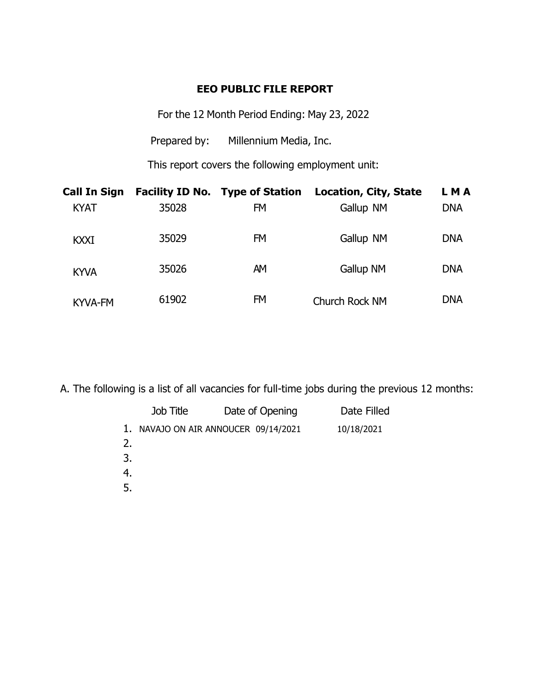## **EEO PUBLIC FILE REPORT**

For the 12 Month Period Ending: May 23, 2022

Prepared by: Millennium Media, Inc.

This report covers the following employment unit:

| <b>Call In Sign</b> |       | <b>Facility ID No. Type of Station</b> | <b>Location, City, State</b> | LMA        |
|---------------------|-------|----------------------------------------|------------------------------|------------|
| <b>KYAT</b>         | 35028 | FM                                     | Gallup NM                    | <b>DNA</b> |
| <b>KXXI</b>         | 35029 | <b>FM</b>                              | Gallup NM                    | <b>DNA</b> |
| <b>KYVA</b>         | 35026 | AM                                     | Gallup NM                    | <b>DNA</b> |
| <b>KYVA-FM</b>      | 61902 | <b>FM</b>                              | Church Rock NM               | <b>DNA</b> |

A. The following is a list of all vacancies for full-time jobs during the previous 12 months:

|                            | Job Title | Date of Opening                   | Date Filled |
|----------------------------|-----------|-----------------------------------|-------------|
| 1.<br>2.<br>3.<br>4.<br>5. |           | NAVAJO ON AIR ANNOUCER 09/14/2021 | 10/18/2021  |
|                            |           |                                   |             |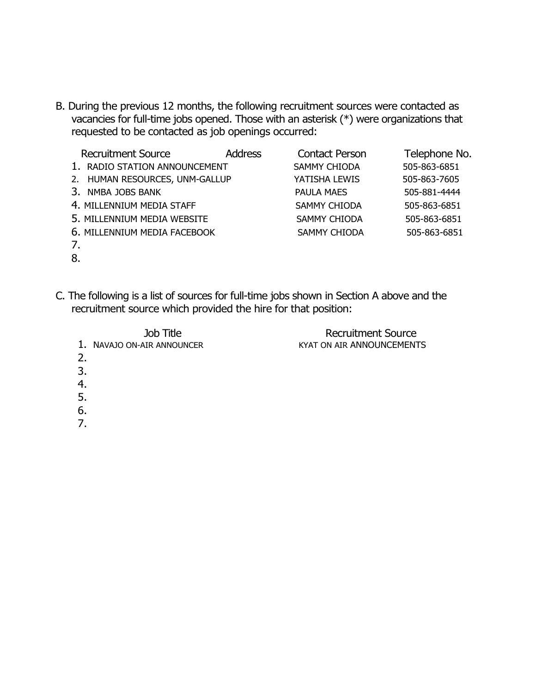B. During the previous 12 months, the following recruitment sources were contacted as vacancies for full-time jobs opened. Those with an asterisk (\*) were organizations that requested to be contacted as job openings occurred:

| <b>Recruitment Source</b>      | <b>Address</b> | <b>Contact Person</b> | Telephone No. |
|--------------------------------|----------------|-----------------------|---------------|
| 1. RADIO STATION ANNOUNCEMENT  |                | <b>SAMMY CHIODA</b>   | 505-863-6851  |
| 2. HUMAN RESOURCES, UNM-GALLUP |                | YATISHA LEWIS         | 505-863-7605  |
| 3. NMBA JOBS BANK              |                | <b>PAULA MAES</b>     | 505-881-4444  |
| 4. MILLENNIUM MEDIA STAFF      |                | <b>SAMMY CHIODA</b>   | 505-863-6851  |
| 5. MILLENNIUM MEDIA WEBSITE    |                | <b>SAMMY CHIODA</b>   | 505-863-6851  |
| 6. MILLENNIUM MEDIA FACEBOOK   |                | <b>SAMMY CHIODA</b>   | 505-863-6851  |
| 7.                             |                |                       |               |

- 8.
- C. The following is a list of sources for full-time jobs shown in Section A above and the recruitment source which provided the hire for that position:

| Job Title                  | <b>Recruitment Source</b> |
|----------------------------|---------------------------|
| 1. NAVAJO ON-AIR ANNOUNCER | KYAT ON AIR ANNOUNCEMENTS |
|                            |                           |
| 3.                         |                           |
|                            |                           |
|                            |                           |

- 5.
- 6.
- 7.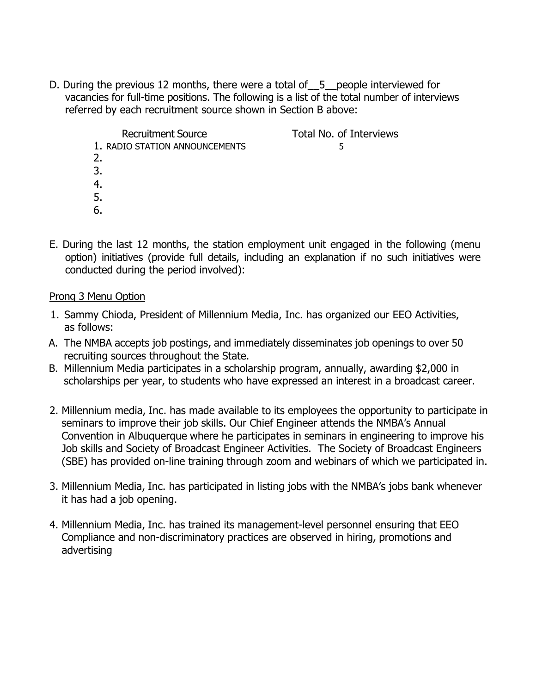D. During the previous 12 months, there were a total of 5 people interviewed for vacancies for full-time positions. The following is a list of the total number of interviews referred by each recruitment source shown in Section B above:

> Recruitment Source Total No. of Interviews 1. RADIO STATION ANNOUNCEMENTS 5 2. 3. 4. 5. 6.

E. During the last 12 months, the station employment unit engaged in the following (menu option) initiatives (provide full details, including an explanation if no such initiatives were conducted during the period involved):

## Prong 3 Menu Option

- 1. Sammy Chioda, President of Millennium Media, Inc. has organized our EEO Activities, as follows:
- A. The NMBA accepts job postings, and immediately disseminates job openings to over 50 recruiting sources throughout the State.
- B. Millennium Media participates in a scholarship program, annually, awarding \$2,000 in scholarships per year, to students who have expressed an interest in a broadcast career.
- 2. Millennium media, Inc. has made available to its employees the opportunity to participate in seminars to improve their job skills. Our Chief Engineer attends the NMBA's Annual Convention in Albuquerque where he participates in seminars in engineering to improve his Job skills and Society of Broadcast Engineer Activities. The Society of Broadcast Engineers (SBE) has provided on-line training through zoom and webinars of which we participated in.
- 3. Millennium Media, Inc. has participated in listing jobs with the NMBA's jobs bank whenever it has had a job opening.
- 4. Millennium Media, Inc. has trained its management-level personnel ensuring that EEO Compliance and non-discriminatory practices are observed in hiring, promotions and advertising